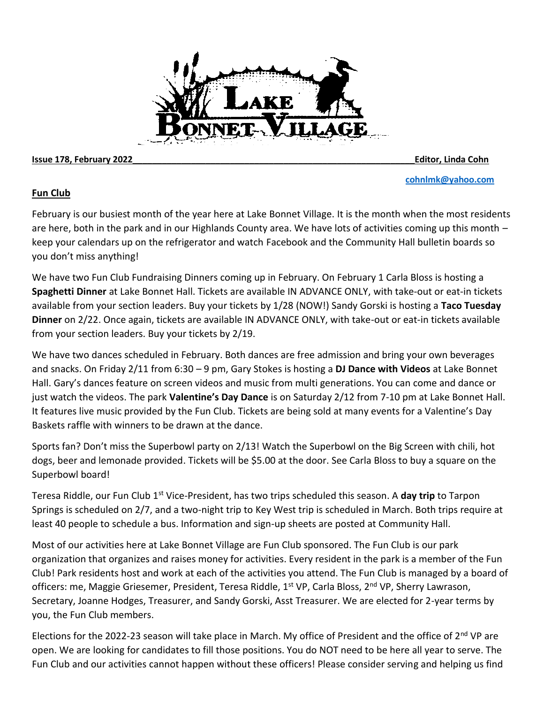#### **Issue 178, February 2022\_\_\_\_\_\_\_\_\_\_\_\_\_\_\_\_\_\_\_\_\_\_\_\_\_\_\_\_\_\_\_\_\_\_\_\_\_\_\_\_\_\_\_\_\_\_\_\_\_\_\_\_\_\_\_\_\_\_Editor, Linda Cohn**

**[cohnlmk@yahoo.com](mailto:cohnlmk@yahoo.com)**

### **Fun Club**

February is our busiest month of the year here at Lake Bonnet Village. It is the month when the most residents are here, both in the park and in our Highlands County area. We have lots of activities coming up this month – keep your calendars up on the refrigerator and watch Facebook and the Community Hall bulletin boards so you don't miss anything!

We have two Fun Club Fundraising Dinners coming up in February. On February 1 Carla Bloss is hosting a **Spaghetti Dinner** at Lake Bonnet Hall. Tickets are available IN ADVANCE ONLY, with take-out or eat-in tickets available from your section leaders. Buy your tickets by 1/28 (NOW!) Sandy Gorski is hosting a **Taco Tuesday Dinner** on 2/22. Once again, tickets are available IN ADVANCE ONLY, with take-out or eat-in tickets available from your section leaders. Buy your tickets by 2/19.

We have two dances scheduled in February. Both dances are free admission and bring your own beverages and snacks. On Friday 2/11 from 6:30 – 9 pm, Gary Stokes is hosting a **DJ Dance with Videos** at Lake Bonnet Hall. Gary's dances feature on screen videos and music from multi generations. You can come and dance or just watch the videos. The park **Valentine's Day Dance** is on Saturday 2/12 from 7-10 pm at Lake Bonnet Hall. It features live music provided by the Fun Club. Tickets are being sold at many events for a Valentine's Day Baskets raffle with winners to be drawn at the dance.

Sports fan? Don't miss the Superbowl party on 2/13! Watch the Superbowl on the Big Screen with chili, hot dogs, beer and lemonade provided. Tickets will be \$5.00 at the door. See Carla Bloss to buy a square on the Superbowl board!

Teresa Riddle, our Fun Club 1<sup>st</sup> Vice-President, has two trips scheduled this season. A **day trip** to Tarpon Springs is scheduled on 2/7, and a two-night trip to Key West trip is scheduled in March. Both trips require at least 40 people to schedule a bus. Information and sign-up sheets are posted at Community Hall.

Most of our activities here at Lake Bonnet Village are Fun Club sponsored. The Fun Club is our park organization that organizes and raises money for activities. Every resident in the park is a member of the Fun Club! Park residents host and work at each of the activities you attend. The Fun Club is managed by a board of officers: me, Maggie Griesemer, President, Teresa Riddle, 1<sup>st</sup> VP, Carla Bloss, 2<sup>nd</sup> VP, Sherry Lawrason, Secretary, Joanne Hodges, Treasurer, and Sandy Gorski, Asst Treasurer. We are elected for 2-year terms by you, the Fun Club members.

Elections for the 2022-23 season will take place in March. My office of President and the office of  $2^{nd}$  VP are open. We are looking for candidates to fill those positions. You do NOT need to be here all year to serve. The Fun Club and our activities cannot happen without these officers! Please consider serving and helping us find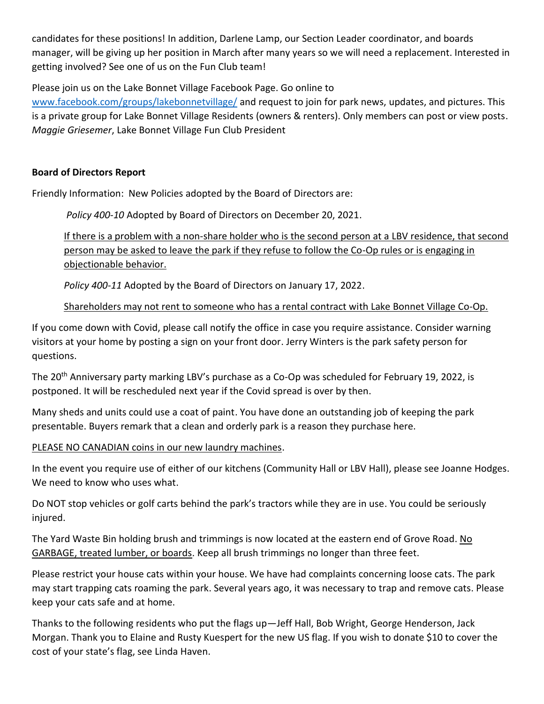candidates for these positions! In addition, Darlene Lamp, our Section Leader coordinator, and boards manager, will be giving up her position in March after many years so we will need a replacement. Interested in getting involved? See one of us on the Fun Club team!

Please join us on the Lake Bonnet Village Facebook Page. Go online to

[www.facebook.com/groups/lakebonnetvillage/](http://www.facebook.com/groups/lakebonnetvillage/) and request to join for park news, updates, and pictures. This is a private group for Lake Bonnet Village Residents (owners & renters). Only members can post or view posts. *Maggie Griesemer*, Lake Bonnet Village Fun Club President

### **Board of Directors Report**

Friendly Information: New Policies adopted by the Board of Directors are:

*Policy 400-10* Adopted by Board of Directors on December 20, 2021.

If there is a problem with a non-share holder who is the second person at a LBV residence, that second person may be asked to leave the park if they refuse to follow the Co-Op rules or is engaging in objectionable behavior.

*Policy 400-11* Adopted by the Board of Directors on January 17, 2022.

Shareholders may not rent to someone who has a rental contract with Lake Bonnet Village Co-Op.

If you come down with Covid, please call notify the office in case you require assistance. Consider warning visitors at your home by posting a sign on your front door. Jerry Winters is the park safety person for questions.

The 20<sup>th</sup> Anniversary party marking LBV's purchase as a Co-Op was scheduled for February 19, 2022, is postponed. It will be rescheduled next year if the Covid spread is over by then.

Many sheds and units could use a coat of paint. You have done an outstanding job of keeping the park presentable. Buyers remark that a clean and orderly park is a reason they purchase here.

PLEASE NO CANADIAN coins in our new laundry machines.

In the event you require use of either of our kitchens (Community Hall or LBV Hall), please see Joanne Hodges. We need to know who uses what.

Do NOT stop vehicles or golf carts behind the park's tractors while they are in use. You could be seriously injured.

The Yard Waste Bin holding brush and trimmings is now located at the eastern end of Grove Road. No GARBAGE, treated lumber, or boards. Keep all brush trimmings no longer than three feet.

Please restrict your house cats within your house. We have had complaints concerning loose cats. The park may start trapping cats roaming the park. Several years ago, it was necessary to trap and remove cats. Please keep your cats safe and at home.

Thanks to the following residents who put the flags up—Jeff Hall, Bob Wright, George Henderson, Jack Morgan. Thank you to Elaine and Rusty Kuespert for the new US flag. If you wish to donate \$10 to cover the cost of your state's flag, see Linda Haven.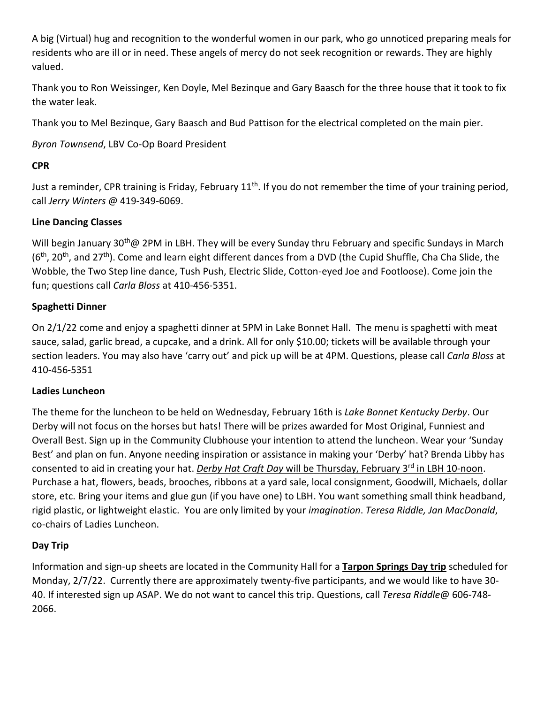A big (Virtual) hug and recognition to the wonderful women in our park, who go unnoticed preparing meals for residents who are ill or in need. These angels of mercy do not seek recognition or rewards. They are highly valued.

Thank you to Ron Weissinger, Ken Doyle, Mel Bezinque and Gary Baasch for the three house that it took to fix the water leak.

Thank you to Mel Bezinque, Gary Baasch and Bud Pattison for the electrical completed on the main pier.

*Byron Townsend*, LBV Co-Op Board President

### **CPR**

Just a reminder, CPR training is Friday, February 11<sup>th</sup>. If you do not remember the time of your training period, call *Jerry Winters* @ 419-349-6069.

### **Line Dancing Classes**

Will begin January 30<sup>th</sup>@ 2PM in LBH. They will be every Sunday thru February and specific Sundays in March  $(6<sup>th</sup>, 20<sup>th</sup>)$ , and 27<sup>th</sup>). Come and learn eight different dances from a DVD (the Cupid Shuffle, Cha Cha Slide, the Wobble, the Two Step line dance, Tush Push, Electric Slide, Cotton-eyed Joe and Footloose). Come join the fun; questions call *Carla Bloss* at 410-456-5351.

### **Spaghetti Dinner**

On 2/1/22 come and enjoy a spaghetti dinner at 5PM in Lake Bonnet Hall. The menu is spaghetti with meat sauce, salad, garlic bread, a cupcake, and a drink. All for only \$10.00; tickets will be available through your section leaders. You may also have 'carry out' and pick up will be at 4PM. Questions, please call *Carla Bloss* at 410-456-5351

### **Ladies Luncheon**

The theme for the luncheon to be held on Wednesday, February 16th is *Lake Bonnet Kentucky Derby*. Our Derby will not focus on the horses but hats! There will be prizes awarded for Most Original, Funniest and Overall Best. Sign up in the Community Clubhouse your intention to attend the luncheon. Wear your 'Sunday Best' and plan on fun. Anyone needing inspiration or assistance in making your 'Derby' hat? Brenda Libby has consented to aid in creating your hat. *Derby Hat Craft Day will be Thursday, February 3<sup>rd</sup> in LBH 10-noon.* Purchase a hat, flowers, beads, brooches, ribbons at a yard sale, local consignment, Goodwill, Michaels, dollar store, etc. Bring your items and glue gun (if you have one) to LBH. You want something small think headband, rigid plastic, or lightweight elastic. You are only limited by your *imagination*. *Teresa Riddle, Jan MacDonald*, co-chairs of Ladies Luncheon.

### **Day Trip**

Information and sign-up sheets are located in the Community Hall for a **Tarpon Springs Day trip** scheduled for Monday, 2/7/22. Currently there are approximately twenty-five participants, and we would like to have 30- 40. If interested sign up ASAP. We do not want to cancel this trip. Questions, call *Teresa Riddle*@ 606-748- 2066.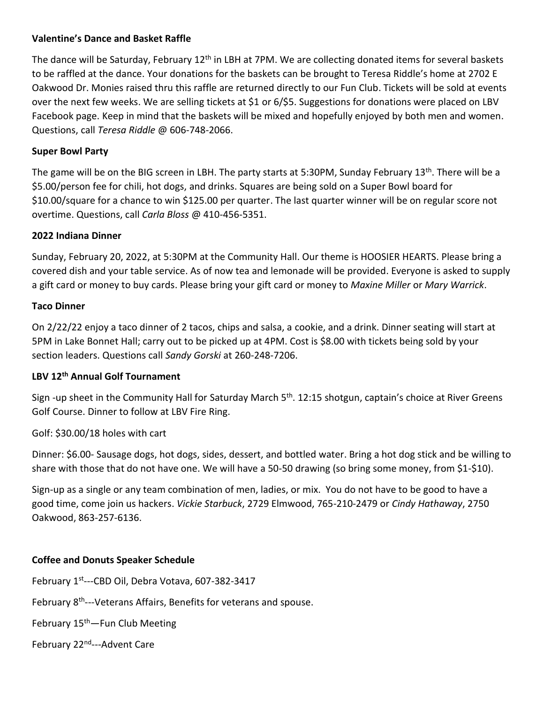### **Valentine's Dance and Basket Raffle**

The dance will be Saturday, February 12<sup>th</sup> in LBH at 7PM. We are collecting donated items for several baskets to be raffled at the dance. Your donations for the baskets can be brought to Teresa Riddle's home at 2702 E Oakwood Dr. Monies raised thru this raffle are returned directly to our Fun Club. Tickets will be sold at events over the next few weeks. We are selling tickets at \$1 or 6/\$5. Suggestions for donations were placed on LBV Facebook page. Keep in mind that the baskets will be mixed and hopefully enjoyed by both men and women. Questions, call *Teresa Riddle* @ 606-748-2066.

### **Super Bowl Party**

The game will be on the BIG screen in LBH. The party starts at 5:30PM, Sunday February 13<sup>th</sup>. There will be a \$5.00/person fee for chili, hot dogs, and drinks. Squares are being sold on a Super Bowl board for \$10.00/square for a chance to win \$125.00 per quarter. The last quarter winner will be on regular score not overtime. Questions, call *Carla Bloss* @ 410-456-5351.

### **2022 Indiana Dinner**

Sunday, February 20, 2022, at 5:30PM at the Community Hall. Our theme is HOOSIER HEARTS. Please bring a covered dish and your table service. As of now tea and lemonade will be provided. Everyone is asked to supply a gift card or money to buy cards. Please bring your gift card or money to *Maxine Miller* or *Mary Warrick*.

### **Taco Dinner**

On 2/22/22 enjoy a taco dinner of 2 tacos, chips and salsa, a cookie, and a drink. Dinner seating will start at 5PM in Lake Bonnet Hall; carry out to be picked up at 4PM. Cost is \$8.00 with tickets being sold by your section leaders. Questions call *Sandy Gorski* at 260-248-7206.

### **LBV 12th Annual Golf Tournament**

Sign -up sheet in the Community Hall for Saturday March 5<sup>th</sup>. 12:15 shotgun, captain's choice at River Greens Golf Course. Dinner to follow at LBV Fire Ring.

### Golf: \$30.00/18 holes with cart

Dinner: \$6.00- Sausage dogs, hot dogs, sides, dessert, and bottled water. Bring a hot dog stick and be willing to share with those that do not have one. We will have a 50-50 drawing (so bring some money, from \$1-\$10).

Sign-up as a single or any team combination of men, ladies, or mix. You do not have to be good to have a good time, come join us hackers. *Vickie Starbuck*, 2729 Elmwood, 765-210-2479 or *Cindy Hathaway*, 2750 Oakwood, 863-257-6136.

### **Coffee and Donuts Speaker Schedule**

February 1<sup>st</sup>---CBD Oil, Debra Votava, 607-382-3417

February 8<sup>th</sup>---Veterans Affairs, Benefits for veterans and spouse.

February 15<sup>th</sup>—Fun Club Meeting

February 22<sup>nd</sup>---Advent Care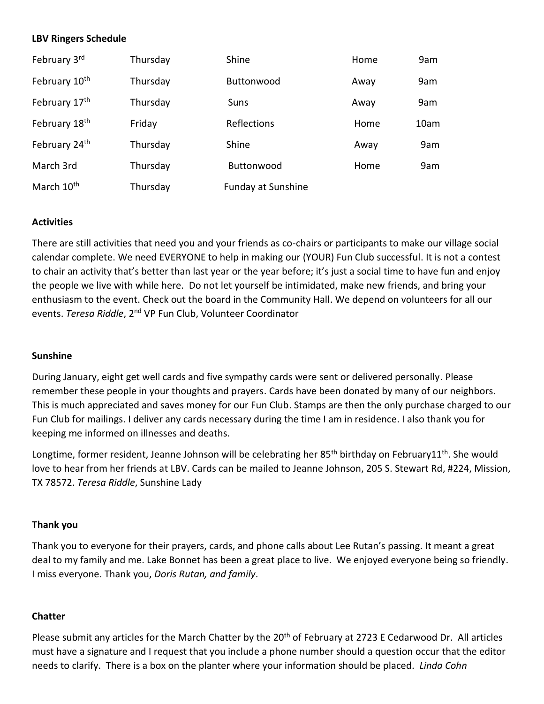### **LBV Ringers Schedule**

| February 3rd           | Thursday | Shine                     | Home | 9am  |
|------------------------|----------|---------------------------|------|------|
| February 10th          | Thursday | <b>Buttonwood</b>         | Away | 9am  |
| February 17th          | Thursday | Suns                      | Away | 9am  |
| February 18th          | Friday   | Reflections               | Home | 10am |
| February 24th          | Thursday | Shine                     | Away | 9am  |
| March 3rd              | Thursday | Buttonwood                | Home | 9am  |
| March 10 <sup>th</sup> | Thursday | <b>Funday at Sunshine</b> |      |      |

### **Activities**

There are still activities that need you and your friends as co-chairs or participants to make our village social calendar complete. We need EVERYONE to help in making our (YOUR) Fun Club successful. It is not a contest to chair an activity that's better than last year or the year before; it's just a social time to have fun and enjoy the people we live with while here. Do not let yourself be intimidated, make new friends, and bring your enthusiasm to the event. Check out the board in the Community Hall. We depend on volunteers for all our events. *Teresa Riddle*, 2nd VP Fun Club, Volunteer Coordinator

### **Sunshine**

During January, eight get well cards and five sympathy cards were sent or delivered personally. Please remember these people in your thoughts and prayers. Cards have been donated by many of our neighbors. This is much appreciated and saves money for our Fun Club. Stamps are then the only purchase charged to our Fun Club for mailings. I deliver any cards necessary during the time I am in residence. I also thank you for keeping me informed on illnesses and deaths.

Longtime, former resident, Jeanne Johnson will be celebrating her 85<sup>th</sup> birthday on February11<sup>th</sup>. She would love to hear from her friends at LBV. Cards can be mailed to Jeanne Johnson, 205 S. Stewart Rd, #224, Mission, TX 78572. *Teresa Riddle*, Sunshine Lady

### **Thank you**

Thank you to everyone for their prayers, cards, and phone calls about Lee Rutan's passing. It meant a great deal to my family and me. Lake Bonnet has been a great place to live. We enjoyed everyone being so friendly. I miss everyone. Thank you, *Doris Rutan, and family*.

### **Chatter**

Please submit any articles for the March Chatter by the 20<sup>th</sup> of February at 2723 E Cedarwood Dr. All articles must have a signature and I request that you include a phone number should a question occur that the editor needs to clarify. There is a box on the planter where your information should be placed. *Linda Cohn*